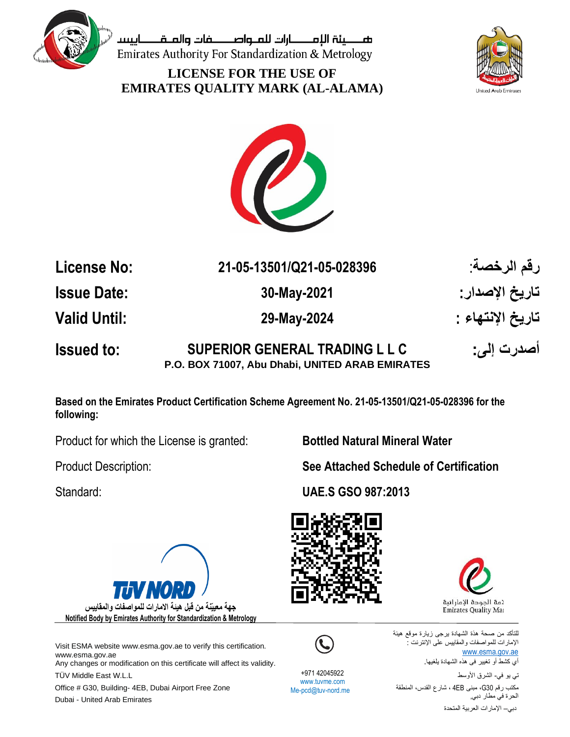

صــــــينة الإمــــــــارات للمــواصــــــــفات والمــقــــــــاييســ Emirates Authority For Standardization & Metrology

**LICENSE FOR THE USE OF EMIRATES QUALITY MARK (AL-ALAMA)**





**License No: 21-05-13501/Q21-05-028396** :**الرخصة رقم Issue Date: 30-May-2021 : اإلصدار تاريخ Valid Until: 29-May-2024 : اإلنتهاء تاريخ Issued to: SUPERIOR GENERAL TRADING L L C :إلى أصدرت**

**P.O. BOX 71007, Abu Dhabi, UNITED ARAB EMIRATES**

**Based on the Emirates Product Certification Scheme Agreement No. 21-05-13501/Q21-05-028396 for the following:**

Product for which the License is granted: **Bottled Natural Mineral Water**



Visit ESMA website www.esma.gov.ae to verify this certification. [www.esma.gov.ae](http://www.esma.gov.ae/)

Any changes or modification on this certificate will affect its validity.

TÜV Middle East W.L.L **Authority for Standardization of Standardization** and Metro Office # G30, Building- 4EB, Dubai Airport Free Zone Dubai - United Arab Emirates

Product Description: **See Attached Schedule of Certification**

Standard: **UAE.S GSO 987:2013**





للتأكد من صحة ھذة الشھادة یرجى زیارة موقع ھیئة اإلمارات للمواصفات والمقاییس على اإلنترنت : [www.esma.gov.ae](http://www.esma.gov.ae/) أي كشط أو تغییر فى ھذه الشھادة یلغیھا.

 +971 42045922 www.tuvme.com Me-pcd@tuv-nord.me

تي یو في- الشرق األوسط مكتب رقم 30G، مبنى EB4 ، شارع القدس، المنطقة الحرة في مطار دبي, دبي– اإلمارات العربیة المتحدة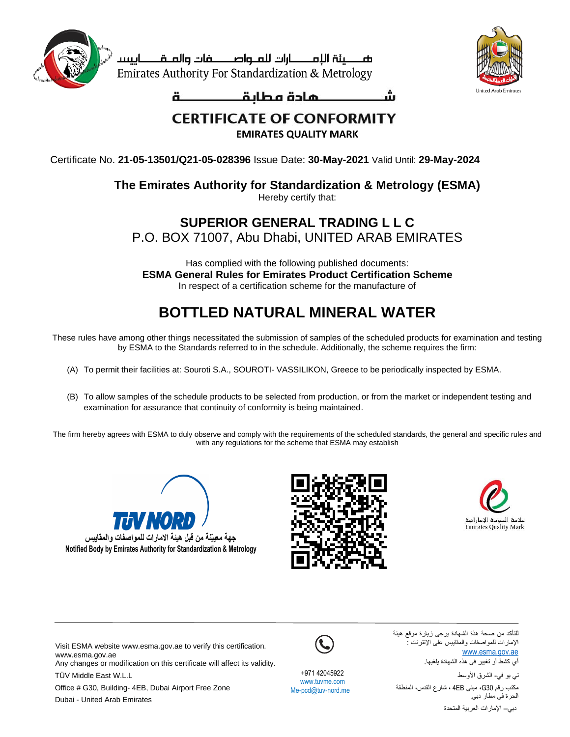

صصينة الإمصارات للملواصصفات والملقصاييس Emirates Authority For Standardization & Metrology



ä

## **CERTIFICATE OF CONFORMITY**

**EMIRATES QUALITY MARK**

Certificate No. **21-05-13501/Q21-05-028396** Issue Date: **30-May-2021** Valid Until: **29-May-2024**

## **The Emirates Authority for Standardization & Metrology (ESMA)**

Hereby certify that:

## **SUPERIOR GENERAL TRADING L L C**

P.O. BOX 71007, Abu Dhabi, UNITED ARAB EMIRATES

Has complied with the following published documents: **ESMA General Rules for Emirates Product Certification Scheme** In respect of a certification scheme for the manufacture of

## **BOTTLED NATURAL MINERAL WATER**

These rules have among other things necessitated the submission of samples of the scheduled products for examination and testing by ESMA to the Standards referred to in the schedule. Additionally, the scheme requires the firm:

- (A) To permit their facilities at: Souroti S.A., SOUROTI- VASSILIKON, Greece to be periodically inspected by ESMA.
- (B) To allow samples of the schedule products to be selected from production, or from the market or independent testing and examination for assurance that continuity of conformity is being maintained.

The firm hereby agrees with ESMA to duly observe and comply with the requirements of the scheduled standards, the general and specific rules and with any regulations for the scheme that ESMA may establish







للتأكد من صحة ھذة الشھادة یرجى زیارة موقع ھیئة اإلمارات للمواصفات والمقاییس على اإلنترنت : [www.esma.gov.ae](http://www.esma.gov.ae/)

أي كشط أو تغییر فى ھذه الشھادة یلغیھا.

تي یو في- الشرق األوسط مكتب رقم 30G، مبنى EB4 ، شارع القدس، المنطقة الحرة في مطار دبي, دبي– اإلمارات العربیة المتحدة

Visit ESMA website www.esma.gov.ae to verify this certification. [www.esma.gov.ae](http://www.esma.gov.ae/)

Any changes or modification on this certificate will affect its validity.

TÜV Middle East W.L.L

Office # G30, Building- 4EB, Dubai Airport Free Zone Dubai - United Arab Emirates



 +971 42045922 www.tuvme.com Me-pcd@tuv-nord.me